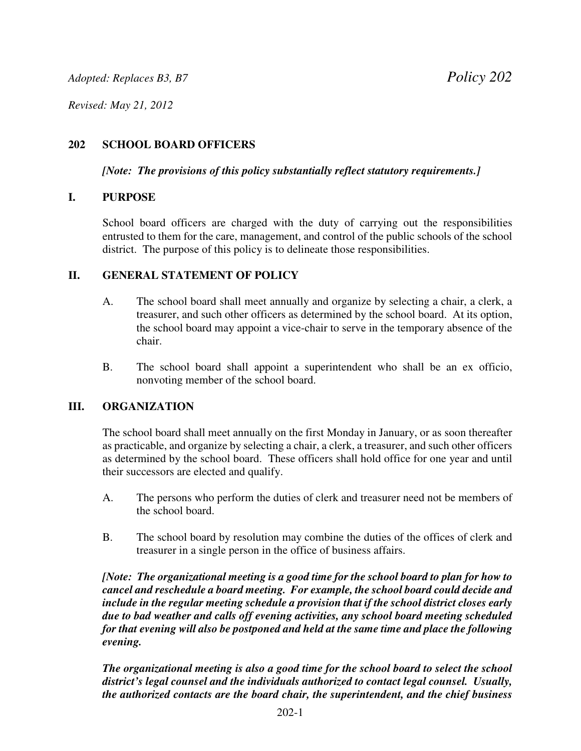*Revised: May 21, 2012*

# **202 SCHOOL BOARD OFFICERS**

*[Note: The provisions of this policy substantially reflect statutory requirements.]*

#### **I. PURPOSE**

School board officers are charged with the duty of carrying out the responsibilities entrusted to them for the care, management, and control of the public schools of the school district. The purpose of this policy is to delineate those responsibilities.

## **II. GENERAL STATEMENT OF POLICY**

- A. The school board shall meet annually and organize by selecting a chair, a clerk, a treasurer, and such other officers as determined by the school board. At its option, the school board may appoint a vice-chair to serve in the temporary absence of the chair.
- B. The school board shall appoint a superintendent who shall be an ex officio, nonvoting member of the school board.

## **III. ORGANIZATION**

The school board shall meet annually on the first Monday in January, or as soon thereafter as practicable, and organize by selecting a chair, a clerk, a treasurer, and such other officers as determined by the school board. These officers shall hold office for one year and until their successors are elected and qualify.

- A. The persons who perform the duties of clerk and treasurer need not be members of the school board.
- B. The school board by resolution may combine the duties of the offices of clerk and treasurer in a single person in the office of business affairs.

*[Note: The organizational meeting is a good time for the school board to plan for how to cancel and reschedule a board meeting. For example, the school board could decide and include in the regular meeting schedule a provision that if the school district closes early due to bad weather and calls off evening activities, any school board meeting scheduled for that evening will also be postponed and held at the same time and place the following evening.* 

*The organizational meeting is also a good time for the school board to select the school district's legal counsel and the individuals authorized to contact legal counsel. Usually, the authorized contacts are the board chair, the superintendent, and the chief business*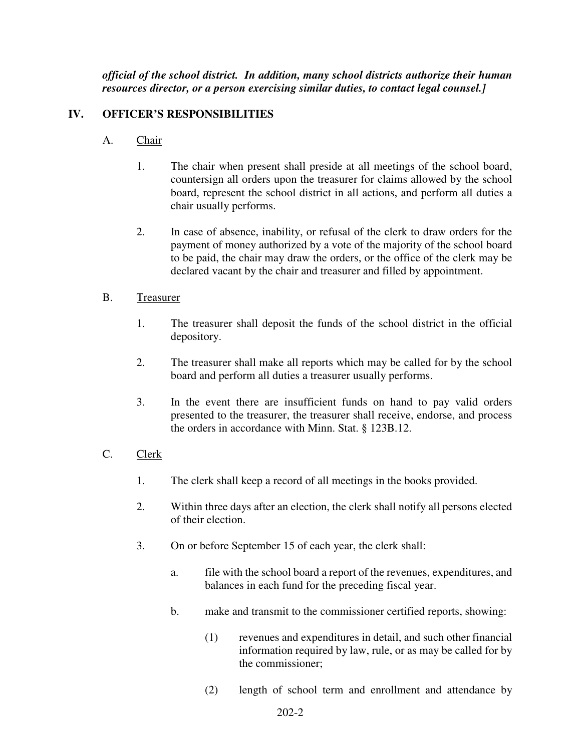*official of the school district. In addition, many school districts authorize their human resources director, or a person exercising similar duties, to contact legal counsel.]*

## **IV. OFFICER'S RESPONSIBILITIES**

- A. Chair
	- 1. The chair when present shall preside at all meetings of the school board, countersign all orders upon the treasurer for claims allowed by the school board, represent the school district in all actions, and perform all duties a chair usually performs.
	- 2. In case of absence, inability, or refusal of the clerk to draw orders for the payment of money authorized by a vote of the majority of the school board to be paid, the chair may draw the orders, or the office of the clerk may be declared vacant by the chair and treasurer and filled by appointment.

#### B. Treasurer

- 1. The treasurer shall deposit the funds of the school district in the official depository.
- 2. The treasurer shall make all reports which may be called for by the school board and perform all duties a treasurer usually performs.
- 3. In the event there are insufficient funds on hand to pay valid orders presented to the treasurer, the treasurer shall receive, endorse, and process the orders in accordance with Minn. Stat. § 123B.12.

#### C. Clerk

- 1. The clerk shall keep a record of all meetings in the books provided.
- 2. Within three days after an election, the clerk shall notify all persons elected of their election.
- 3. On or before September 15 of each year, the clerk shall:
	- a. file with the school board a report of the revenues, expenditures, and balances in each fund for the preceding fiscal year.
	- b. make and transmit to the commissioner certified reports, showing:
		- (1) revenues and expenditures in detail, and such other financial information required by law, rule, or as may be called for by the commissioner;
		- (2) length of school term and enrollment and attendance by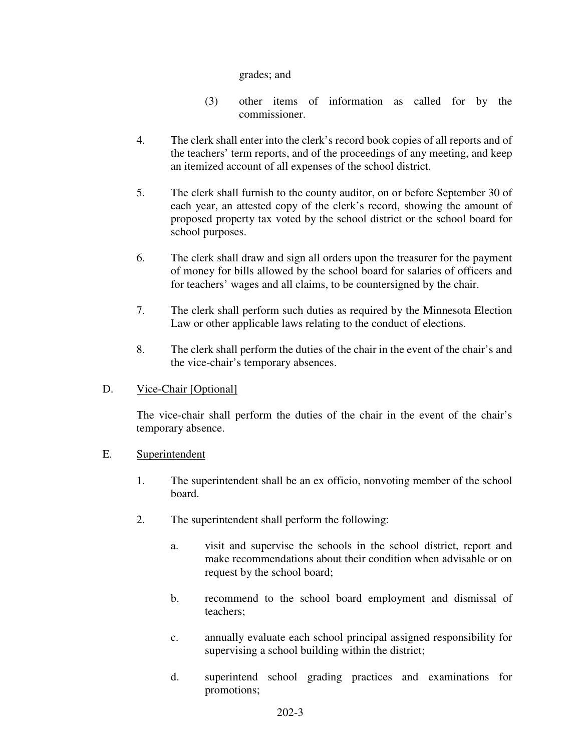grades; and

- (3) other items of information as called for by the commissioner.
- 4. The clerk shall enter into the clerk's record book copies of all reports and of the teachers' term reports, and of the proceedings of any meeting, and keep an itemized account of all expenses of the school district.
- 5. The clerk shall furnish to the county auditor, on or before September 30 of each year, an attested copy of the clerk's record, showing the amount of proposed property tax voted by the school district or the school board for school purposes.
- 6. The clerk shall draw and sign all orders upon the treasurer for the payment of money for bills allowed by the school board for salaries of officers and for teachers' wages and all claims, to be countersigned by the chair.
- 7. The clerk shall perform such duties as required by the Minnesota Election Law or other applicable laws relating to the conduct of elections.
- 8. The clerk shall perform the duties of the chair in the event of the chair's and the vice-chair's temporary absences.
- D. Vice-Chair [Optional]

The vice-chair shall perform the duties of the chair in the event of the chair's temporary absence.

- E. Superintendent
	- 1. The superintendent shall be an ex officio, nonvoting member of the school board.
	- 2. The superintendent shall perform the following:
		- a. visit and supervise the schools in the school district, report and make recommendations about their condition when advisable or on request by the school board;
		- b. recommend to the school board employment and dismissal of teachers;
		- c. annually evaluate each school principal assigned responsibility for supervising a school building within the district;
		- d. superintend school grading practices and examinations for promotions;